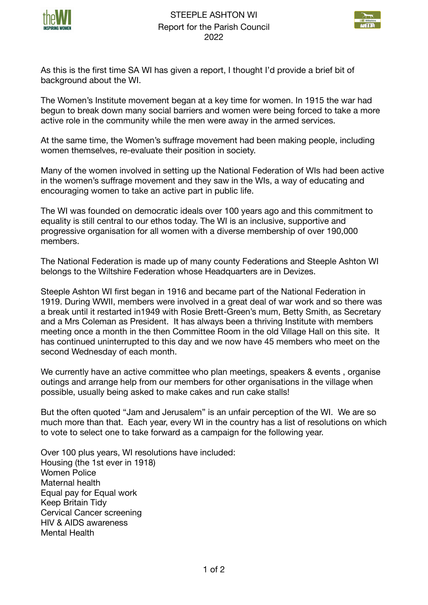



As this is the first time SA WI has given a report, I thought I'd provide a brief bit of background about the WI.

The Women's Institute movement began at a key time for women. In 1915 the war had begun to break down many social barriers and women were being forced to take a more active role in the community while the men were away in the armed services.

At the same time, the Women's suffrage movement had been making people, including women themselves, re-evaluate their position in society.

Many of the women involved in setting up the National Federation of WIs had been active in the women's suffrage movement and they saw in the WIs, a way of educating and encouraging women to take an active part in public life.

The WI was founded on democratic ideals over 100 years ago and this commitment to equality is still central to our ethos today. The WI is an inclusive, supportive and progressive organisation for all women with a diverse membership of over 190,000 members.

The National Federation is made up of many county Federations and Steeple Ashton WI belongs to the Wiltshire Federation whose Headquarters are in Devizes.

Steeple Ashton WI first began in 1916 and became part of the National Federation in 1919. During WWII, members were involved in a great deal of war work and so there was a break until it restarted in1949 with Rosie Brett-Green's mum, Betty Smith, as Secretary and a Mrs Coleman as President. It has always been a thriving Institute with members meeting once a month in the then Committee Room in the old Village Hall on this site. It has continued uninterrupted to this day and we now have 45 members who meet on the second Wednesday of each month.

We currently have an active committee who plan meetings, speakers & events, organise outings and arrange help from our members for other organisations in the village when possible, usually being asked to make cakes and run cake stalls!

But the often quoted "Jam and Jerusalem" is an unfair perception of the WI. We are so much more than that. Each year, every WI in the country has a list of resolutions on which to vote to select one to take forward as a campaign for the following year.

Over 100 plus years, WI resolutions have included: Housing (the 1st ever in 1918) Women Police Maternal health Equal pay for Equal work Keep Britain Tidy Cervical Cancer screening HIV & AIDS awareness Mental Health